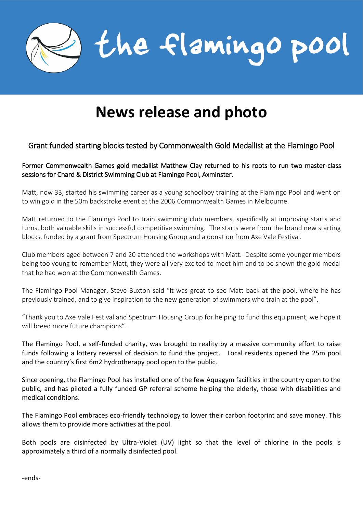

# **News release and photo**

# Grant funded starting blocks tested by Commonwealth Gold Medallist at the Flamingo Pool

## Former Commonwealth Games gold medallist Matthew Clay returned to his roots to run two master-class sessions for Chard & District Swimming Club at Flamingo Pool, Axminster.

Matt, now 33, started his swimming career as a young schoolboy training at the Flamingo Pool and went on to win gold in the 50m backstroke event at the 2006 Commonwealth Games in Melbourne.

Matt returned to the Flamingo Pool to train swimming club members, specifically at improving starts and turns, both valuable skills in successful competitive swimming. The starts were from the brand new starting blocks, funded by a grant from Spectrum Housing Group and a donation from Axe Vale Festival.

Club members aged between 7 and 20 attended the workshops with Matt. Despite some younger members being too young to remember Matt, they were all very excited to meet him and to be shown the gold medal that he had won at the Commonwealth Games.

The Flamingo Pool Manager, Steve Buxton said "It was great to see Matt back at the pool, where he has previously trained, and to give inspiration to the new generation of swimmers who train at the pool".

"Thank you to Axe Vale Festival and Spectrum Housing Group for helping to fund this equipment, we hope it will breed more future champions".

The Flamingo Pool, a self-funded charity, was brought to reality by a massive community effort to raise funds following a lottery reversal of decision to fund the project. Local residents opened the 25m pool and the country's first 6m2 hydrotherapy pool open to the public.

Since opening, the Flamingo Pool has installed one of the few Aquagym facilities in the country open to the public, and has piloted a fully funded GP referral scheme helping the elderly, those with disabilities and medical conditions.

The Flamingo Pool embraces eco-friendly technology to lower their carbon footprint and save money. This allows them to provide more activities at the pool.

Both pools are disinfected by Ultra-Violet (UV) light so that the level of chlorine in the pools is approximately a third of a normally disinfected pool.

-ends-